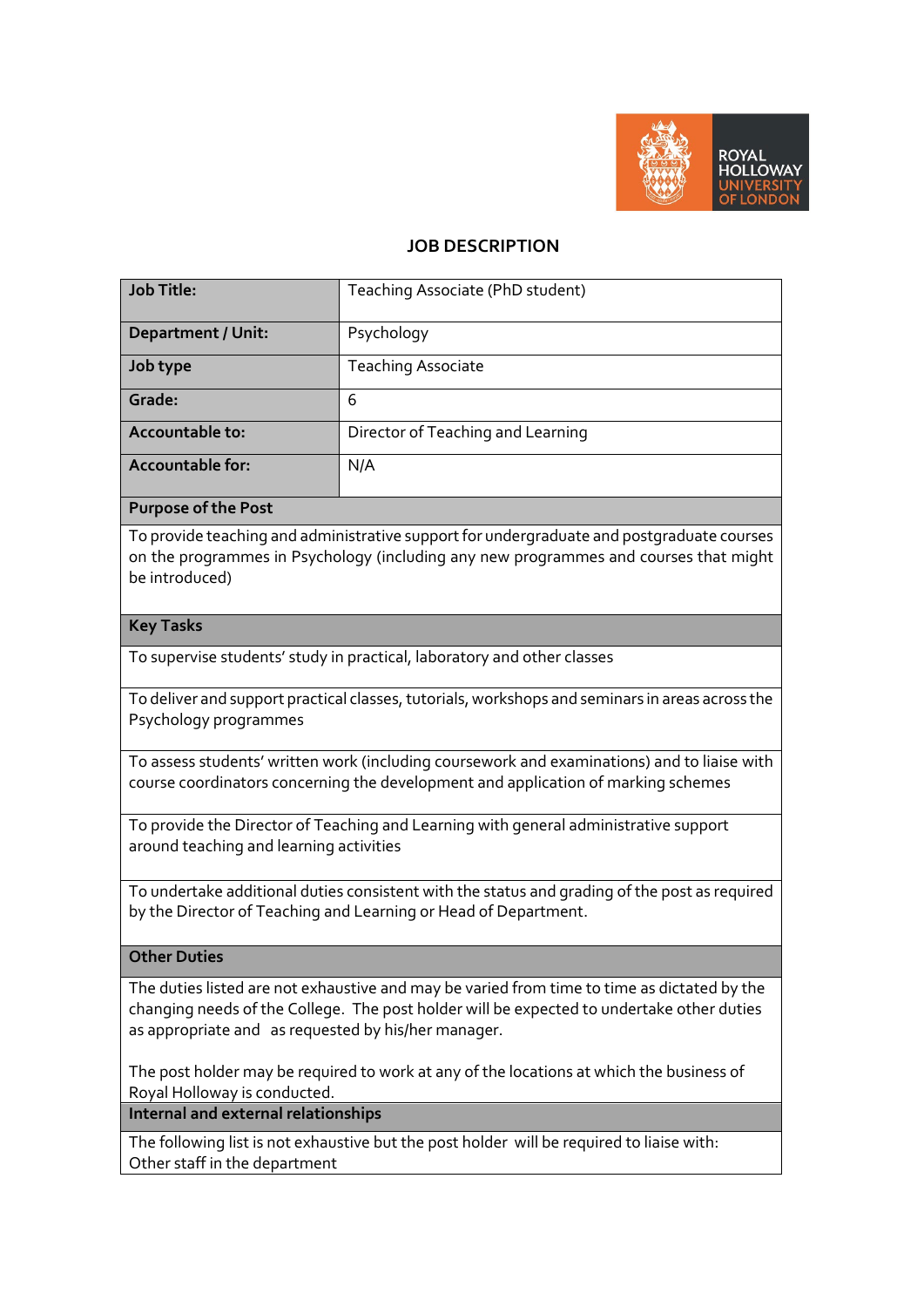

# **JOB DESCRIPTION**

| <b>Job Title:</b>         | Teaching Associate (PhD student)  |
|---------------------------|-----------------------------------|
| <b>Department / Unit:</b> | Psychology                        |
| Job type                  | <b>Teaching Associate</b>         |
| Grade:                    | 6                                 |
| Accountable to:           | Director of Teaching and Learning |
| Accountable for:          | N/A                               |

### **Purpose of the Post**

To provide teaching and administrative support for undergraduate and postgraduate courses on the programmes in Psychology (including any new programmes and courses that might be introduced)

#### **Key Tasks**

To supervise students' study in practical, laboratory and other classes

To deliver and support practical classes, tutorials, workshops and seminars in areas across the Psychology programmes

To assess students' written work (including coursework and examinations) and to liaise with course coordinators concerning the development and application of marking schemes

To provide the Director of Teaching and Learning with general administrative support around teaching and learning activities

To undertake additional duties consistent with the status and grading of the post as required by the Director of Teaching and Learning or Head of Department.

## **Other Duties**

The duties listed are not exhaustive and may be varied from time to time as dictated by the changing needs of the College. The post holder will be expected to undertake other duties as appropriate and as requested by his/her manager.

The post holder may be required to work at any of the locations at which the business of Royal Holloway is conducted.

**Internal and external relationships**

The following list is not exhaustive but the post holder will be required to liaise with: Other staff in the department